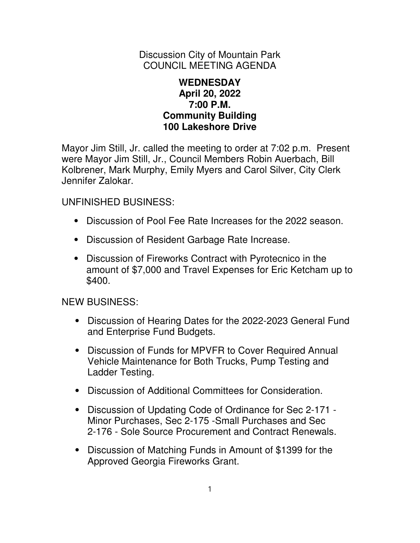Discussion City of Mountain Park COUNCIL MEETING AGENDA

## **WEDNESDAY April 20, 2022 7:00 P.M. Community Building 100 Lakeshore Drive**

Mayor Jim Still, Jr. called the meeting to order at 7:02 p.m. Present were Mayor Jim Still, Jr., Council Members Robin Auerbach, Bill Kolbrener, Mark Murphy, Emily Myers and Carol Silver, City Clerk Jennifer Zalokar.

UNFINISHED BUSINESS:

- ⦁ Discussion of Pool Fee Rate Increases for the 2022 season.
- ⦁ Discussion of Resident Garbage Rate Increase.
- ⦁ Discussion of Fireworks Contract with Pyrotecnico in the amount of \$7,000 and Travel Expenses for Eric Ketcham up to \$400.

NEW BUSINESS:

- ⦁ Discussion of Hearing Dates for the 2022-2023 General Fund and Enterprise Fund Budgets.
- ⦁ Discussion of Funds for MPVFR to Cover Required Annual Vehicle Maintenance for Both Trucks, Pump Testing and Ladder Testing.
- ⦁ Discussion of Additional Committees for Consideration.
- ⦁ Discussion of Updating Code of Ordinance for Sec 2-171 Minor Purchases, Sec 2-175 -Small Purchases and Sec 2-176 - Sole Source Procurement and Contract Renewals.
- ⦁ Discussion of Matching Funds in Amount of \$1399 for the Approved Georgia Fireworks Grant.